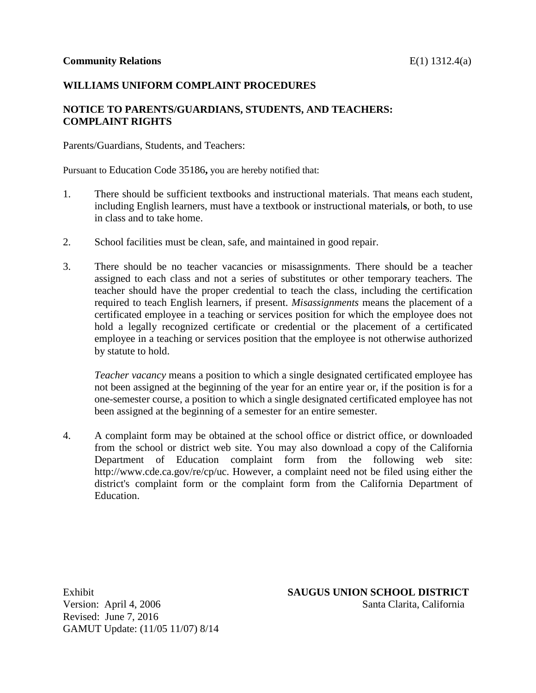### **WILLIAMS UNIFORM COMPLAINT PROCEDURES**

## **NOTICE TO PARENTS/GUARDIANS, STUDENTS, AND TEACHERS: COMPLAINT RIGHTS**

Parents/Guardians, Students, and Teachers:

Pursuant to Education Code 35186**,** you are hereby notified that:

- 1. There should be sufficient textbooks and instructional materials. That means each student, including English learners, must have a textbook or instructional material**s**, or both, to use in class and to take home.
- 2. School facilities must be clean, safe, and maintained in good repair.
- 3. There should be no teacher vacancies or misassignments. There should be a teacher assigned to each class and not a series of substitutes or other temporary teachers. The teacher should have the proper credential to teach the class, including the certification required to teach English learners, if present. *Misassignments* means the placement of a certificated employee in a teaching or services position for which the employee does not hold a legally recognized certificate or credential or the placement of a certificated employee in a teaching or services position that the employee is not otherwise authorized by statute to hold.

*Teacher vacancy* means a position to which a single designated certificated employee has not been assigned at the beginning of the year for an entire year or, if the position is for a one-semester course, a position to which a single designated certificated employee has not been assigned at the beginning of a semester for an entire semester.

4. A complaint form may be obtained at the school office or district office, or downloaded from the school or district web site. You may also download a copy of the California Department of Education complaint form from the following web site: <http://www.cde.ca.gov/re/cp/uc.> However, a complaint need not be filed using either the district's complaint form or the complaint form from the California Department of Education.

Revised: June 7, 2016 GAMUT Update: (11/05 11/07) 8/14

Exhibit **SAUGUS UNION SCHOOL DISTRICT** Version: April 4, 2006 Santa Clarita, California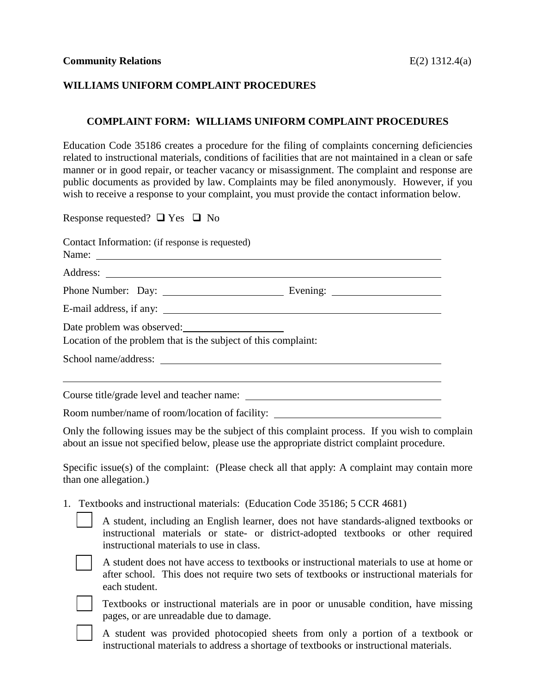### **WILLIAMS UNIFORM COMPLAINT PROCEDURES**

#### **COMPLAINT FORM: WILLIAMS UNIFORM COMPLAINT PROCEDURES**

Education Code [35186](http://gamutonline.net/displayPolicy/352127/1) creates a procedure for the filing of complaints concerning deficiencies related to instructional materials, conditions of facilities that are not maintained in a clean or safe manner or in good repair, or teacher vacancy or misassignment. The complaint and response are public documents as provided by law. Complaints may be filed anonymously. However, if you wish to receive a response to your complaint, you must provide the contact information below.

| Response requested? $\Box$ Yes $\Box$ No                                                     |                                                                                                                                                                                                                                                                                                  |
|----------------------------------------------------------------------------------------------|--------------------------------------------------------------------------------------------------------------------------------------------------------------------------------------------------------------------------------------------------------------------------------------------------|
| Contact Information: (if response is requested)                                              |                                                                                                                                                                                                                                                                                                  |
|                                                                                              |                                                                                                                                                                                                                                                                                                  |
|                                                                                              |                                                                                                                                                                                                                                                                                                  |
|                                                                                              |                                                                                                                                                                                                                                                                                                  |
| Date problem was observed:<br>Location of the problem that is the subject of this complaint: |                                                                                                                                                                                                                                                                                                  |
|                                                                                              |                                                                                                                                                                                                                                                                                                  |
|                                                                                              |                                                                                                                                                                                                                                                                                                  |
|                                                                                              |                                                                                                                                                                                                                                                                                                  |
|                                                                                              | $\mathbf{D}$ and $\mathbf{I}$ and $\mathbf{C}$ and $\mathbf{A}$ and $\mathbf{C}$ and $\mathbf{C}$ and $\mathbf{C}$ and $\mathbf{C}$ and $\mathbf{C}$ and $\mathbf{C}$ and $\mathbf{C}$ and $\mathbf{C}$ and $\mathbf{C}$ and $\mathbf{C}$ and $\mathbf{C}$ and $\mathbf{C}$ and $\mathbf{C}$ and |

Room number/name of room/location of facility:

Only the following issues may be the subject of this complaint process. If you wish to complain about an issue not specified below, please use the appropriate district complaint procedure.

Specific issue(s) of the complaint: (Please check all that apply: A complaint may contain more than one allegation.)

1. Textbooks and instructional materials: (Education Code 35186; 5 CCR 4681)

 A student, including an English learner, does not have standards-aligned textbooks or instructional materials or state- or district-adopted textbooks or other required instructional materials to use in class.



 A student does not have access to textbooks or instructional materials to use at home or after school. This does not require two sets of textbooks or instructional materials for each student.



 Textbooks or instructional materials are in poor or unusable condition, have missing pages, or are unreadable due to damage.

 A student was provided photocopied sheets from only a portion of a textbook or instructional materials to address a shortage of textbooks or instructional materials.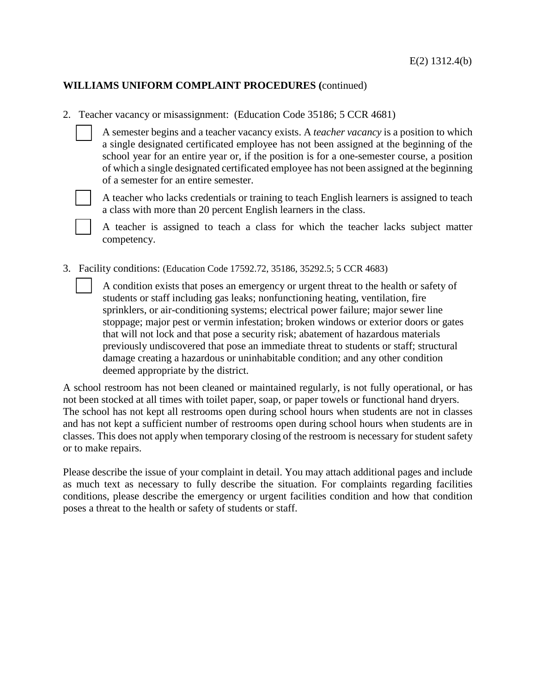# **WILLIAMS UNIFORM COMPLAINT PROCEDURES (**continued)

2. Teacher vacancy or misassignment: (Education Code 35186; 5 CCR 4681)

 A semester begins and a teacher vacancy exists. A *teacher vacancy* is a position to which a single designated certificated employee has not been assigned at the beginning of the school year for an entire year or, if the position is for a one-semester course, a position of which a single designated certificated employee has not been assigned at the beginning of a semester for an entire semester.



 A teacher who lacks credentials or training to teach English learners is assigned to teach a class with more than 20 percent English learners in the class.

 A teacher is assigned to teach a class for which the teacher lacks subject matter competency.

3. Facility conditions: (Education Code [17592.72,](http://gamutonline.net/displayPolicy/352178/1) [35186,](http://gamutonline.net/displayPolicy/352127/1) [35292.5;](http://gamutonline.net/displayPolicy/315716/1) 5 CCR [4683\)](http://gamutonline.net/displayPolicy/390298/1)

 A condition exists that poses an emergency or urgent threat to the health or safety of students or staff including gas leaks; nonfunctioning heating, ventilation, fire sprinklers, or air-conditioning systems; electrical power failure; major sewer line stoppage; major pest or vermin infestation; broken windows or exterior doors or gates that will not lock and that pose a security risk; abatement of hazardous materials previously undiscovered that pose an immediate threat to students or staff; structural damage creating a hazardous or uninhabitable condition; and any other condition deemed appropriate by the district.

A school restroom has not been cleaned or maintained regularly, is not fully operational, or has not been stocked at all times with toilet paper, soap, or paper towels or functional hand dryers. The school has not kept all restrooms open during school hours when students are not in classes and has not kept a sufficient number of restrooms open during school hours when students are in classes. This does not apply when temporary closing of the restroom is necessary for student safety or to make repairs.

Please describe the issue of your complaint in detail. You may attach additional pages and include as much text as necessary to fully describe the situation. For complaints regarding facilities conditions, please describe the emergency or urgent facilities condition and how that condition poses a threat to the health or safety of students or staff.